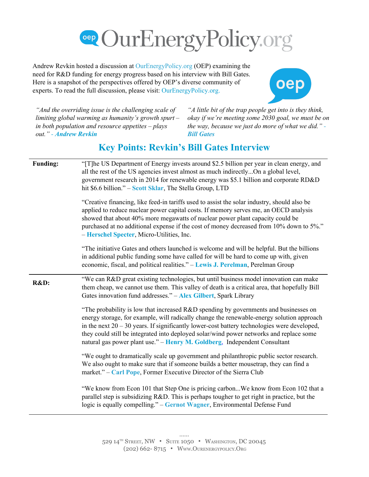

Andrew Revkin hosted a discussion at OurEnergyPolicy.org (OEP) examining the need for R&D funding for energy progress based on his interview with Bill Gates. Here is a snapshot of the perspectives offered by OEP's diverse community of experts. To read the full discussion, please visit: OurEnergyPolicy.org.



*"And the overriding issue is the challenging scale of limiting global warming as humanity's growth spurt – in both population and resource appetites – plays out." Andrew Revkin*

*"A little bit of the trap people get into is they think, okay if we're meeting some 2030 goal, we must be on the way, because we just do more of what we did." Bill Gates*

## **Key Points: Revkin's Bill Gates Interview**

| <b>Funding:</b> | "[T]he US Department of Energy invests around \$2.5 billion per year in clean energy, and<br>all the rest of the US agencies invest almost as much indirectlyOn a global level,<br>government research in 2014 for renewable energy was \$5.1 billion and corporate RD&D<br>hit \$6.6 billion." - Scott Sklar, The Stella Group, LTD                                                                                                                       |
|-----------------|------------------------------------------------------------------------------------------------------------------------------------------------------------------------------------------------------------------------------------------------------------------------------------------------------------------------------------------------------------------------------------------------------------------------------------------------------------|
|                 | "Creative financing, like feed-in tariffs used to assist the solar industry, should also be<br>applied to reduce nuclear power capital costs. If memory serves me, an OECD analysis<br>showed that about 40% more megawatts of nuclear power plant capacity could be<br>purchased at no additional expense if the cost of money decreased from 10% down to 5%."<br>- Herschel Specter, Micro-Utilities, Inc.                                               |
|                 | "The initiative Gates and others launched is welcome and will be helpful. But the billions<br>in additional public funding some have called for will be hard to come up with, given<br>economic, fiscal, and political realities." - Lewis J. Perelman, Perelman Group                                                                                                                                                                                     |
| R&D:            | "We can R&D great existing technologies, but until business model innovation can make<br>them cheap, we cannot use them. This valley of death is a critical area, that hopefully Bill<br>Gates innovation fund addresses." - Alex Gilbert, Spark Library                                                                                                                                                                                                   |
|                 | "The probability is low that increased R&D spending by governments and businesses on<br>energy storage, for example, will radically change the renewable-energy solution approach<br>in the next $20 - 30$ years. If significantly lower-cost battery technologies were developed,<br>they could still be integrated into deployed solar/wind power networks and replace some<br>natural gas power plant use." - Henry M. Goldberg, Independent Consultant |
|                 | "We ought to dramatically scale up government and philanthropic public sector research.<br>We also ought to make sure that if someone builds a better mousetrap, they can find a<br>market." – Carl Pope, Former Executive Director of the Sierra Club                                                                                                                                                                                                     |
|                 | "We know from Econ 101 that Step One is pricing carbonWe know from Econ 102 that a<br>parallel step is subsidizing R&D. This is perhaps tougher to get right in practice, but the<br>logic is equally compelling." - Gernot Wagner, Environmental Defense Fund                                                                                                                                                                                             |